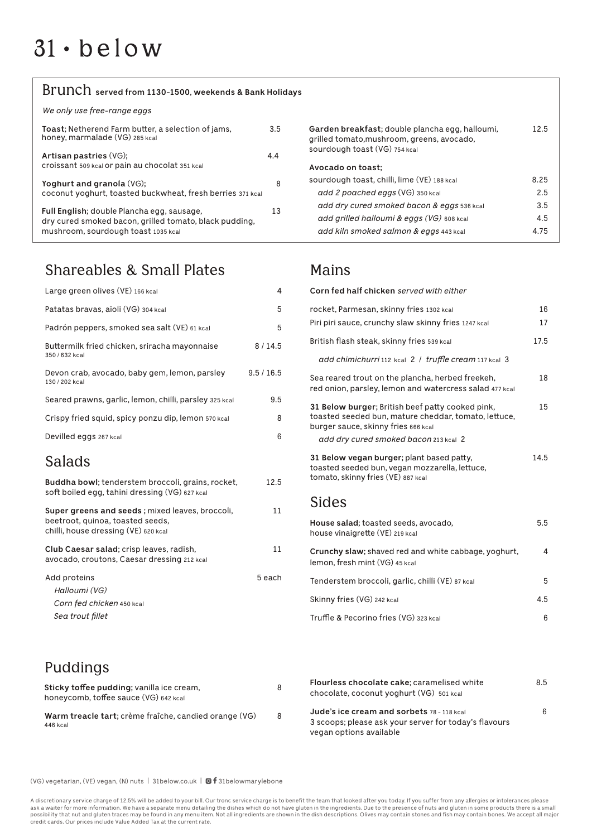# $31 \cdot$  below

# Brunch **served from 1130-1500, weekends & Bank Holidays**

*We only use free-range eggs*

| Toast; Netherend Farm butter, a selection of jams,<br>honey, marmalade (VG) 285 kcal                                                        | 3.5 |
|---------------------------------------------------------------------------------------------------------------------------------------------|-----|
| Artisan pastries (VG);<br>Croissant 509 kcal or pain au chocolat 351 kcal                                                                   | 4.4 |
| Yoghurt and granola (VG);<br>coconut yoghurt, toasted buckwheat, fresh berries 371 kcal                                                     | 8   |
| Full English; double Plancha egg, sausage,<br>dry cured smoked bacon, grilled tomato, black pudding,<br>mushroom, sourdough toast 1035 kcal | 13  |

# Shareables & Small Plates

| Large green olives (VE) 166 kcal                                                                                            | 4          |
|-----------------------------------------------------------------------------------------------------------------------------|------------|
| Patatas bravas, aïoli (VG) 304 kcal                                                                                         | 5          |
| Padrón peppers, smoked sea salt (VE) 61 kcal                                                                                | 5          |
| Buttermilk fried chicken, sriracha mayonnaise<br>350 / 632 kcal                                                             | 8/14.5     |
| Devon crab, avocado, baby gem, lemon, parsley<br>130 / 202 kcal                                                             | 9.5 / 16.5 |
| Seared prawns, garlic, lemon, chilli, parsley 325 kcal                                                                      | 9.5        |
| Crispy fried squid, spicy ponzu dip, lemon 570 kcal                                                                         | 8          |
| Devilled eggs 267 kcal                                                                                                      | 6          |
| <b>Salads</b>                                                                                                               |            |
| <b>Buddha bowl</b> ; tenderstem broccoli, grains, rocket,<br>soft boiled egg, tahini dressing (VG) 627 kcal                 | 12.5       |
| Super greens and seeds; mixed leaves, broccoli,<br>beetroot, quinoa, toasted seeds,<br>chilli, house dressing (VE) 620 kcal | 11         |
| Club Caesar salad; crisp leaves, radish,<br>avocado, croutons, Caesar dressing 212 kcal                                     | 11         |
| Add proteins<br>Halloumi (VG)<br>Corn fed chicken 450 kcal                                                                  | 5 each     |
| Sea trout fillet                                                                                                            |            |

#### **Garden breakfast;** double plancha egg, halloumi, 12.5 grilled tomato,mushroom, greens, avocado, sourdough toast (VG) 754 kcal **Avocado on toast;**  sourdough toast, chilli, lime (VE) 188 kcal 6.25 add 2 poached eggs (VG) 350 kcal 2.5 *add dry cured smoked bacon & eggs* 536 kcal 3.5 add grilled halloumi & eggs (VG) 608 kcal 4.5 add kiln smoked salmon & eggs 443 kcal 4.75

### Mains

| Corn fed half chicken served with either                                                                                                        |      |
|-------------------------------------------------------------------------------------------------------------------------------------------------|------|
| rocket, Parmesan, skinny fries 1302 kcal                                                                                                        | 16   |
| Piri piri sauce, crunchy slaw skinny fries 1247 kcal                                                                                            | 17   |
| British flash steak, skinny fries 539 kcal                                                                                                      | 17.5 |
| add chimichurri 112 kcal 2 / truffle cream 117 kcal 3                                                                                           |      |
| Sea reared trout on the plancha, herbed freekeh,<br>red onion, parsley, lemon and watercress salad 477 kcal                                     | 18   |
| 31 Below burger; British beef patty cooked pink,<br>toasted seeded bun, mature cheddar, tomato, lettuce,<br>burger sauce, skinny fries 666 kcal | 15   |
| add dry cured smoked bacon 213 kcal 2                                                                                                           |      |
| 31 Below vegan burger; plant based patty,<br>toasted seeded bun, vegan mozzarella, lettuce,<br>tomato, skinny fries (VE) 887 kcal               | 14.5 |
| Sides                                                                                                                                           |      |
| House salad; toasted seeds, avocado,<br>house vinaigrette (VE) 219 kcal                                                                         | 5.5  |
| Crunchy slaw; shaved red and white cabbage, yoghurt,<br>lemon, fresh mint (VG) 45 kcal                                                          | 4    |
| Tenderstem broccoli, garlic, chilli (VE) 87 kcal                                                                                                | 5    |

| Skinny fries (VG) 242 kcal             | 4.5 |
|----------------------------------------|-----|
| Truffle & Pecorino fries (VG) 323 kcal |     |

Puddings

| Sticky toffee pudding; vanilla ice cream,<br>honeycomb, toffee sauce (VG) 642 kcal | 8 | Flou<br>cho        |
|------------------------------------------------------------------------------------|---|--------------------|
| Warm treacle tart; crème fraîche, candied orange (VG)<br>446 kcal                  | 8 | Jud<br>3 sc<br>veg |

**Filter Filters** cake; caramelised white **1996 Filter 8.5** ocolate, coconut yoghurt (VG) 501 kcal **Jude's ice cream and sorbets** 78 - 118 kcal **6** oops; please ask your server for today's flavours: an options available

(VG) vegetarian, (VE) vegan, (N) nuts | 31below.co.uk |  $\blacksquare$  f 31belowmarylebone

A discretionary service charge of 12.5% will be added to your bill. Our tronc service charge is to benefit the team that looked after you today. If you suffer from any allergies or intolerances please ask a waiter for more information. We have a separate menu detailing the dishes which do not have gluten in the ingredients. Due to the presence of nuts and gluten in some products there is a small possibility that nut and gluten traces may be found in any menu item. Not all ingredients are shown in the dish descriptions. Olives may contain stones and fish may contain bones. We accept all major credit cards. Our prices include Value Added Tax at the current rate.